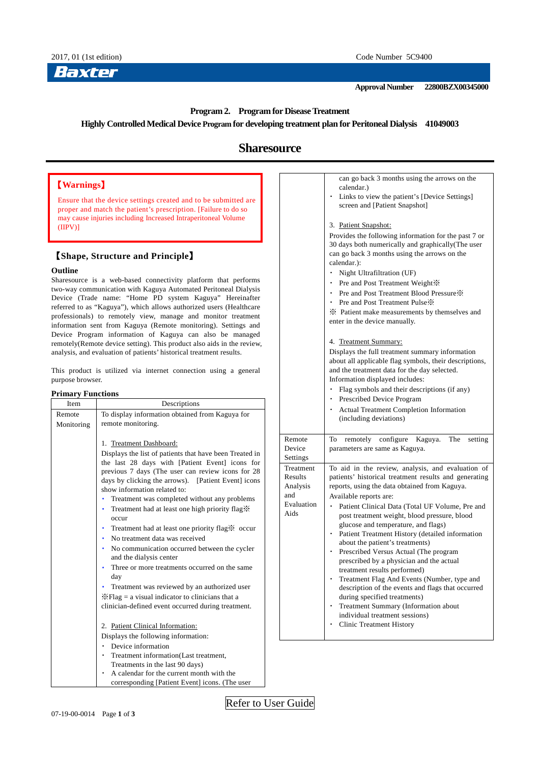**Approval Number 22800BZX00345000**

## **Program 2. Program for Disease Treatment**

**Highly Controlled Medical Device Program for developing treatment plan for Peritoneal Dialysis 41049003**

# **Sharesource**

# 【**Warnings**】

Ensure that the device settings created and to be submitted are proper and match the patient's prescription. [Failure to do so may cause injuries including Increased Intraperitoneal Volume (IIPV)]

# 【**Shape, Structure and Principle**】

## **Outline**

Sharesource is a web-based connectivity platform that performs two-way communication with Kaguya Automated Peritoneal Dialysis Device (Trade name: "Home PD system Kaguya" Hereinafter referred to as "Kaguya"), which allows authorized users (Healthcare professionals) to remotely view, manage and monitor treatment information sent from Kaguya (Remote monitoring). Settings and Device Program information of Kaguya can also be managed remotely(Remote device setting). This product also aids in the review, analysis, and evaluation of patients' historical treatment results.

This product is utilized via internet connection using a general purpose browser.

### **Primary Functions**

| Item       | Descriptions                                                                                                                                                                                                                                                                                                                                                                                                                                                                                                                                                                                                                                                                                                                                                                                          |
|------------|-------------------------------------------------------------------------------------------------------------------------------------------------------------------------------------------------------------------------------------------------------------------------------------------------------------------------------------------------------------------------------------------------------------------------------------------------------------------------------------------------------------------------------------------------------------------------------------------------------------------------------------------------------------------------------------------------------------------------------------------------------------------------------------------------------|
| Remote     | To display information obtained from Kaguya for                                                                                                                                                                                                                                                                                                                                                                                                                                                                                                                                                                                                                                                                                                                                                       |
| Monitoring | remote monitoring.                                                                                                                                                                                                                                                                                                                                                                                                                                                                                                                                                                                                                                                                                                                                                                                    |
|            | 1. Treatment Dashboard:<br>Displays the list of patients that have been Treated in<br>the last 28 days with [Patient Event] icons for<br>previous 7 days (The user can review icons for 28<br>days by clicking the arrows). [Patient Event] icons<br>show information related to:<br>Treatment was completed without any problems<br>Treatment had at least one high priority flag.<br>۰<br>occur<br>Treatment had at least one priority flag * occur<br>No treatment data was received<br>٠<br>No communication occurred between the cycler<br>and the dialysis center<br>Three or more treatments occurred on the same<br>day<br>Treatment was reviewed by an authorized user<br>$\mathcal{K}$ Flag = a visual indicator to clinicians that a<br>clinician-defined event occurred during treatment. |
|            | 2. Patient Clinical Information:<br>Displays the following information:<br>Device information<br>Treatment information(Last treatment,<br>Treatments in the last 90 days)<br>A calendar for the current month with the<br>corresponding [Patient Event] icons. (The user                                                                                                                                                                                                                                                                                                                                                                                                                                                                                                                              |

|                                                               | can go back 3 months using the arrows on the<br>calendar.)<br>Links to view the patient's [Device Settings]<br>screen and [Patient Snapshot]<br>3. Patient Snapshot:<br>Provides the following information for the past 7 or<br>30 days both numerically and graphically(The user<br>can go back 3 months using the arrows on the<br>calendar.):<br>Night Ultrafiltration (UF)<br>Pre and Post Treatment Weight X<br>۰<br>Pre and Post Treatment Blood Pressure X<br>Pre and Post Treatment Pulse »<br>X: Patient make measurements by themselves and<br>enter in the device manually.<br>4. Treatment Summary:<br>Displays the full treatment summary information<br>about all applicable flag symbols, their descriptions,<br>and the treatment data for the day selected.<br>Information displayed includes:<br>Flag symbols and their descriptions (if any)<br>Prescribed Device Program<br><b>Actual Treatment Completion Information</b><br>(including deviations) |
|---------------------------------------------------------------|--------------------------------------------------------------------------------------------------------------------------------------------------------------------------------------------------------------------------------------------------------------------------------------------------------------------------------------------------------------------------------------------------------------------------------------------------------------------------------------------------------------------------------------------------------------------------------------------------------------------------------------------------------------------------------------------------------------------------------------------------------------------------------------------------------------------------------------------------------------------------------------------------------------------------------------------------------------------------|
| Remote<br>Device<br>Settings                                  | To<br>remotely<br>configure Kaguya.<br>The<br>setting<br>parameters are same as Kaguya.                                                                                                                                                                                                                                                                                                                                                                                                                                                                                                                                                                                                                                                                                                                                                                                                                                                                                  |
| Treatment<br>Results<br>Analysis<br>and<br>Evaluation<br>Aids | To aid in the review, analysis, and evaluation of<br>patients' historical treatment results and generating<br>reports, using the data obtained from Kaguya.<br>Available reports are:<br>Patient Clinical Data (Total UF Volume, Pre and<br>post treatment weight, blood pressure, blood<br>glucose and temperature, and flags)<br>Patient Treatment History (detailed information<br>about the patient's treatments)<br>Prescribed Versus Actual (The program<br>prescribed by a physician and the actual<br>treatment results performed)<br>Treatment Flag And Events (Number, type and<br>description of the events and flags that occurred<br>during specified treatments)<br>Treatment Summary (Information about<br>individual treatment sessions)<br><b>Clinic Treatment History</b>                                                                                                                                                                              |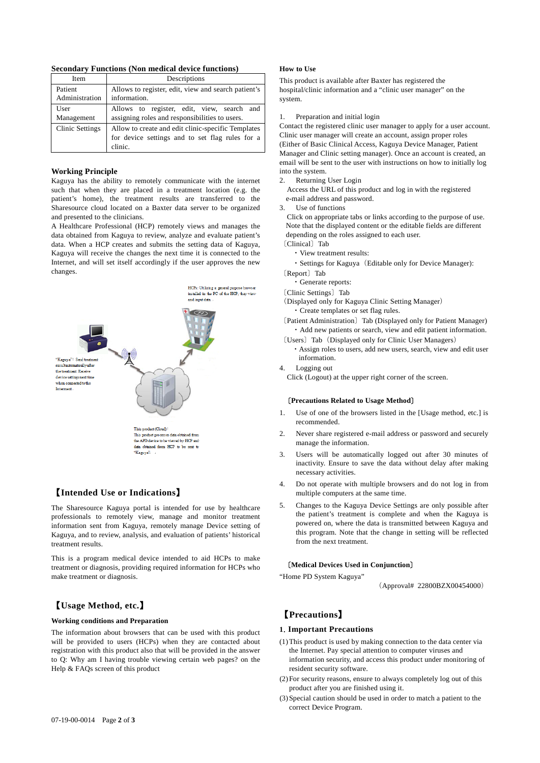**Secondary Functions (Non medical device functions)**

| Item                   | Descriptions                                                                                                     |
|------------------------|------------------------------------------------------------------------------------------------------------------|
| Patient                | Allows to register, edit, view and search patient's                                                              |
| Administration         | information.                                                                                                     |
| User                   | Allows to register, edit, view, search and                                                                       |
| Management             | assigning roles and responsibilities to users.                                                                   |
| <b>Clinic Settings</b> | Allow to create and edit clinic-specific Templates<br>for device settings and to set flag rules for a<br>clinic. |

#### **Working Principle**

Kaguya has the ability to remotely communicate with the internet such that when they are placed in a treatment location (e.g. the patient's home), the treatment results are transferred to the Sharesource cloud located on a Baxter data server to be organized and presented to the clinicians.

A Healthcare Professional (HCP) remotely views and manages the data obtained from Kaguya to review, analyze and evaluate patient's data. When a HCP creates and submits the setting data of Kaguya, Kaguya will receive the changes the next time it is connected to the Internet, and will set itself accordingly if the user approves the new changes.



## 【**Intended Use or Indications**】

The Sharesource Kaguya portal is intended for use by healthcare professionals to remotely view, manage and monitor treatment information sent from Kaguya, remotely manage Device setting of Kaguya, and to review, analysis, and evaluation of patients' historical treatment results.

This is a program medical device intended to aid HCPs to make treatment or diagnosis, providing required information for HCPs who make treatment or diagnosis.

## 【**Usage Method, etc.**】

## **Working conditions and Preparation**

The information about browsers that can be used with this product will be provided to users (HCPs) when they are contacted about registration with this product also that will be provided in the answer to Q: Why am I having trouble viewing certain web pages? on the Help & FAQs screen of this product

#### **How to Use**

This product is available after Baxter has registered the hospital/clinic information and a "clinic user manager" on the system.

1. Preparation and initial login

Contact the registered clinic user manager to apply for a user account. Clinic user manager will create an account, assign proper roles (Either of Basic Clinical Access, Kaguya Device Manager, Patient Manager and Clinic setting manager). Once an account is created, an email will be sent to the user with instructions on how to initially log into the system.

2. Returning User Login

Access the URL of this product and log in with the registered e-mail address and password.

3. Use of functions

Click on appropriate tabs or links according to the purpose of use. Note that the displayed content or the editable fields are different depending on the roles assigned to each user.

- 〔Clinical〕Tab
	- ・View treatment results: ・Settings for Kaguya(Editable only for Device Manager):
- 〔Report〕Tab

・Generate reports:

- 〔Clinic Settings〕Tab
- (Displayed only for Kaguya Clinic Setting Manager) ・Create templates or set flag rules.
- 〔Patient Administration〕Tab (Displayed only for Patient Manager) ・Add new patients or search, view and edit patient information.
- 〔Users〕Tab(Displayed only for Clinic User Managers)
	- ・Assign roles to users, add new users, search, view and edit user information.
- 4. Logging out
	- Click (Logout) at the upper right corner of the screen.

#### 〔**Precautions Related to Usage Method**〕

- 1. Use of one of the browsers listed in the [Usage method, etc.] is recommended.
- 2. Never share registered e-mail address or password and securely manage the information.
- 3. Users will be automatically logged out after 30 minutes of inactivity. Ensure to save the data without delay after making necessary activities.
- 4. Do not operate with multiple browsers and do not log in from multiple computers at the same time.
- 5. Changes to the Kaguya Device Settings are only possible after the patient's treatment is complete and when the Kaguya is powered on, where the data is transmitted between Kaguya and this program. Note that the change in setting will be reflected from the next treatment.

#### 〔**Medical Devices Used in Conjunction**〕

"Home PD System Kaguya"

(Approval# 22800BZX00454000)

# 【**Precautions**】

## **1**.**Important Precautions**

- (1)This product is used by making connection to the data center via the Internet. Pay special attention to computer viruses and information security, and access this product under monitoring of resident security software.
- (2)For security reasons, ensure to always completely log out of this product after you are finished using it.
- (3)Special caution should be used in order to match a patient to the correct Device Program.